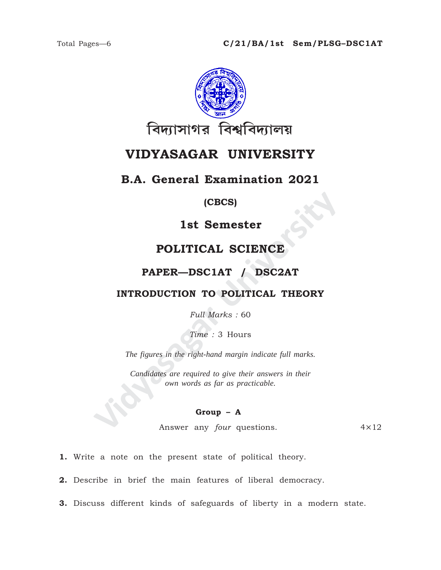

# **VIDYASAGAR UNIVERSITY**

## **B.A. General Examination 2021**

### **(CBCS)**

# **1st Semester**

# **POLITICAL SCIENCE**

## **PAPER—DSC1AT / DSC2AT**

### **INTRODUCTION TO POLITICAL THEORY**

*Full Marks :* 60

*Time :* 3 Hours

*The figures in the right-hand margin indicate full marks.*

**IST SEMESTER (CBCS)<br>
IST SEMESTER POLITICAL SCIENCE<br>
PAPER—DSC1AT / DSC2AT<br>
INTRODUCTION TO POLITICAL THEORY<br>
Full Marks : 60<br>
Time : 3 Hours<br>
The figures in the right-hand margin indicate full marks.<br>
Candidates are requ** *Candidates are required to give their answers in their own words as far as practicable.*

### **Group – A**

Answer any *four* questions. 4×12

**1.** Write a note on the present state of political theory.

**2.** Describe in brief the main features of liberal democracy.

**3.** Discuss different kinds of safeguards of liberty in a modern state.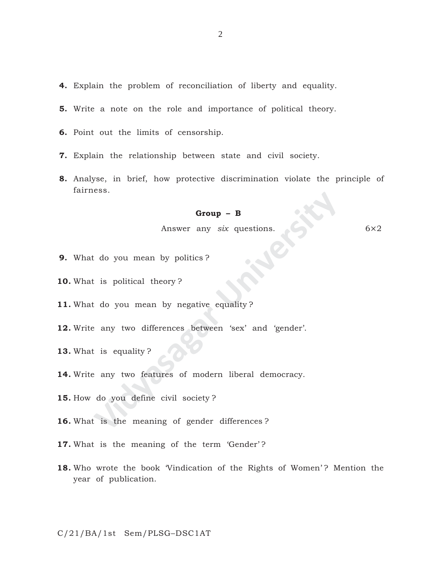- **4.** Explain the problem of reconciliation of liberty and equality.
- **5.** Write a note on the role and importance of political theory.
- **6.** Point out the limits of censorship.
- **7.** Explain the relationship between state and civil society.
- **8.** Analyse, in brief, how protective discrimination violate the principle of fairness.

#### **Group – B**

Answer any *six* questions. 6×2

- **9.** What do you mean by politics ?
- **10.** What is political theory ?
- 11. What do you mean by negative equality?
- **Group B**<br>
Answer any *six* questions.<br>
E do you mean by politics?<br>
E is political theory?<br>
E do you mean by negative equality?<br>
P any two differences between 'sex' and 'gender'.<br>
E is equality?<br>
P any two features of mo **12.** Write any two differences between 'sex' and 'gender'.
- **13.** What is equality ?
- **14.** Write any two features of modern liberal democracy.
- **15.** How do you define civil society ?
- **16.** What is the meaning of gender differences ?
- 17. What is the meaning of the term 'Gender'?
- **18.** Who wrote the book 'Vindication of the Rights of Women'? Mention the year of publication.

C/21/BA/1st Sem/PLSG–DSC1AT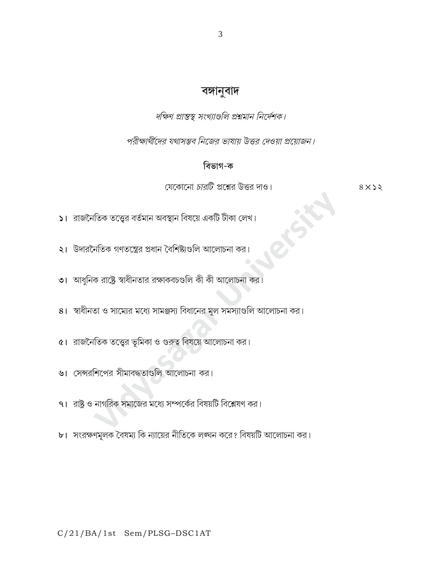# বঙ্গানুবাদ

দক্ষিণ প্রান্তস্থ সংখ্যাগুলি প্রশ্নমান নির্দেশক।

পরীক্ষার্থীদের যথাসম্ভব নিজের ভাষায় উত্তর দেওয়া প্রয়োজন।

# বিভাগ-ক

যেকোনো *চারটি* প্রশ্নের উত্তর দাও।

 $8 \times 22$ 

- $\overline{\phantom{a}}$ । রাজনৈতিক তত্ত্বের বর্তমান অবস্থান বিষয়ে একটি টীকা লেখ।
- $\vert \mathbf{X} \vert$  উদারনৈতিক গণতন্ত্রের প্রধান বৈশিষ্ট্যগুলি আলোচনা কর।
- ৩। আধুনিক রাষ্ট্রে স্বাধীনতার রক্ষাকবচগুলি কী কী আলোচনা কর।
- 8। স্বাধীনতা ও সাম্যের মধ্যে সামঞ্জস্য বিধানের মূল সমস্যাগুলি আলোচনা কর।
- $\alpha$ । রাজনৈতিক তত্ত্বের ভূমিকা ও গুরুত্ব বিষয়ে আলোচনা কর।
- ৬। সেন্সরশিপের সীমাবদ্ধতাগুলি আলোচনা কর।
- ৭। রাষ্ট্র ও নাগরিক সমাজের মধ্যে সম্পর্কের বিষয়টি বিশ্লেষণ কর।
- ৮। সংরক্ষণমূলক বৈষম্য কি ন্যায়ের নীতিকে লঙ্ঘন করে? বিষয়টি আলোচনা কর।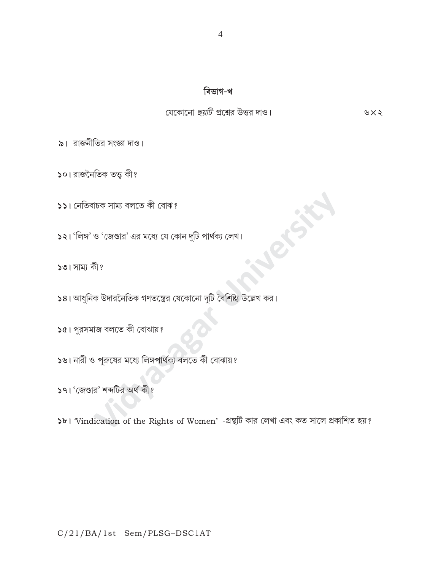১৮। Vindication of the Rights of Women' -গ্রন্থটি কার লেখা এবং কত সালে প্রকাশিত হয়?

- ১৭। 'জেণ্ডার' শব্দটির অর্থ কী?
- 
- ১৬। নারী ও পুরুষের মধ্যে লিঙ্গপার্থক্য বলতে কী বোঝায়?
- ১৫। পুরসমাজ বলতে কী বোঝায়?
- 

 $\sqrt{58}$ । আধুনিক উদারনৈতিক গণতন্ত্রের যেকোনো দুটি বৈশিষ্ট্য উল্লেখ কর।

- ১২। 'লিঙ্গ' ও 'জেণ্ডার' এর মধ্যে যে কোন দুটি পার্থক্য লেখ।
- ১১। নেতিবাচক সাম্য বলতে কী বোঝ?
- ১০। রাজনৈতিক তত্ত্ব কী?

১৩। সাম্য কী?

৯। রাজনীতির সংজ্ঞা দাও।

যেকোনো *ছয়টি* প্রশ্নের উত্তর দাও।

৬ $\times$ ২

বিভাগ-খ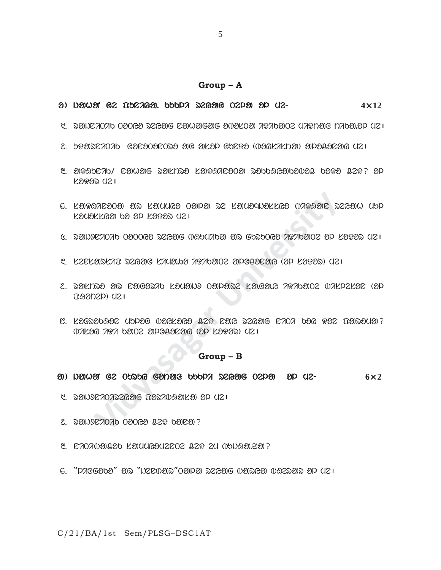#### **Group – A**

- o ) jahaN ge puniya. kukli reyag Tela ol me- eyag Tela ol me-**4**×**12**
- $\beta$ . dendato obore daregig denoegig eveloes tifabeta yapan pabele ya $\epsilon$
- $2.$  braincrorb  $6$ acaoacona aig ailad gborra (baglalia) aidagaoaig uzu
- $3.29$ alika  $10^{\circ}$  ramag saknsa karatroo sadagaanayay daya  $32$ y? ad soDor me|
- $e$ . laisaicsosi sid friches osidsi de frigandarkes (insasic decisio cipi  $R$ samossa po so  $R$ sassa asi
- $6.$  denderoad 020062 degeig waduaden er guruCe arabenez ep leged uz $\overline{1}$
- $C.$  LEDEUREAT REGERG LAUSING AGANGOE ENDOLLER (OP LOGOR) UZI
- **Vidyasagar University** 7. rastro ar nagorik somajx Talare sa.ga.y iDikaTe bisleson (ol  $DBODZD)$  ( $121$
- $8.$  La $8$ abaal Uppe warlaca  $93$  can parang cao bar  $93$  uaraua?  $07K2G$   $797$   $b202$   $20P332$  $B3G$   $(20$   $20P33)$   $(121)$

### **Group – B**

#### a ) hamat ge opspe ganais popd segaig oepa ap ue- exaging ox and  $6\times 2$

- $1.590270752696$  poribage  $1.9370999$
- $2.$   $300000000000000202900007$
- $8.$  C $70709090$  L $30400302002$   $029$   $24$   $050939.29$  ?
- $6.$  "pagebba" ar "wecoar "carea reage oarsa or ar uzi

C/21/BA/1st Sem/PLSG–DSC1AT